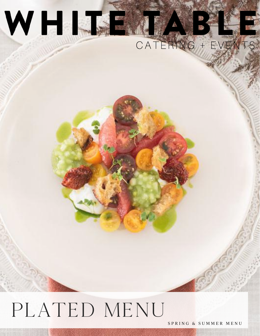

# PLATED MENU

SPRING & SUMMER MENU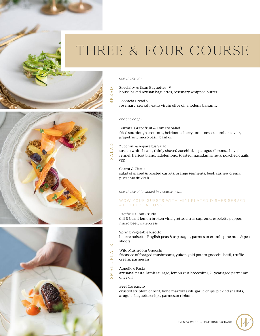

#### *one choice of -*

BREA $\Box$ Specialty Artisan Baguettes V house baked Artisan baguettes, rosemary whipped butter

Foccacia Bread V rosemary, sea salt, extra virgin olive oil, modena balsamic

#### *one choice of -*

Burrata, Grapefruit & Tomato Salad fried sourdough croutons, heirloom cherry tomatoes, cucumber caviar, grapefruit, micro basil, basil oil

# Zucchini & Asparagus Salad

 $\mathord{\Box}$ 

S <sup>A</sup> LAtuscan white beans, thinly shaved zucchini, asparagus ribbons, shaved fennel, haricot blanc, ladolemono, toasted macadamia nuts, poached quails' egg

Carrot & Citrus salad of glazed & roasted carrots, orange segments, beet, cashew crema, pistachio dukkah

#### *one choice of (included in 4 course menu)*

## WOW YOUR GUESTS WITH MINI PLATED DISHES SERVED AT CHEF STATIONS.

#### Pacific Halibut Crudo

dill & burnt lemon broken vinaigrette, citrus supreme, espelette pepper, micro beet, watercress

Spring Vegetable Risotto

beurre noisette, English peas & asparagus, parmesan crumb, pine nuts & pea shoots

#### Wild Mushroom Gnocchi

fricassee of foraged mushrooms, yukon gold potato gnocchi, basil, truffle cream, parmesan

Agnello e Pasta

ALL

PLATE

S <sup>M</sup> artisanal pasta, lamb sausage, lemon zest broccolini, 25 year aged parmesan, olive oil

#### Beef Carpaccio

crusted striploin of beef, bone marrow aioli, garlic chips, pickled shallots, arugula, baguette crisps, parmesan ribbons